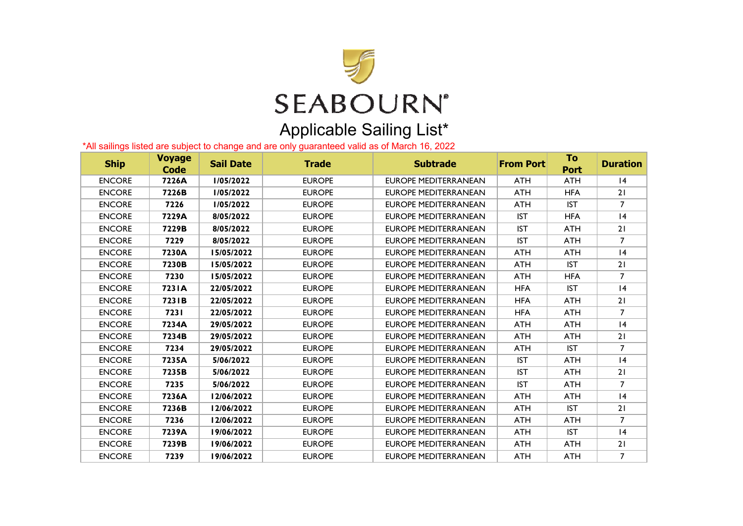

## \*All sailings listed are subject to change and are only guaranteed valid as of March 16, 2022

| <b>Ship</b>   | <b>Voyage</b><br><b>Code</b> | <b>Sail Date</b> | <b>Trade</b>  | <b>Subtrade</b>             | <b>From Port</b> | To<br><b>Port</b> | <b>Duration</b> |
|---------------|------------------------------|------------------|---------------|-----------------------------|------------------|-------------------|-----------------|
| <b>ENCORE</b> | 7226A                        | 1/05/2022        | <b>EUROPE</b> | <b>EUROPE MEDITERRANEAN</b> | <b>ATH</b>       | <b>ATH</b>        | 4               |
| <b>ENCORE</b> | 7226B                        | 1/05/2022        | <b>EUROPE</b> | <b>EUROPE MEDITERRANEAN</b> | ATH              | <b>HFA</b>        | 21              |
| <b>ENCORE</b> | 7226                         | 1/05/2022        | <b>EUROPE</b> | <b>EUROPE MEDITERRANEAN</b> | ATH              | <b>IST</b>        | $\overline{7}$  |
| <b>ENCORE</b> | 7229A                        | 8/05/2022        | <b>EUROPE</b> | EUROPE MEDITERRANEAN        | <b>IST</b>       | <b>HFA</b>        | $\overline{14}$ |
| <b>ENCORE</b> | 7229B                        | 8/05/2022        | <b>EUROPE</b> | <b>EUROPE MEDITERRANEAN</b> | <b>IST</b>       | <b>ATH</b>        | 21              |
| <b>ENCORE</b> | 7229                         | 8/05/2022        | <b>EUROPE</b> | <b>EUROPE MEDITERRANEAN</b> | <b>IST</b>       | <b>ATH</b>        | $\overline{7}$  |
| <b>ENCORE</b> | 7230A                        | 15/05/2022       | <b>EUROPE</b> | EUROPE MEDITERRANEAN        | ATH              | <b>ATH</b>        | 4               |
| <b>ENCORE</b> | 7230B                        | 15/05/2022       | <b>EUROPE</b> | <b>EUROPE MEDITERRANEAN</b> | ATH              | <b>IST</b>        | 21              |
| <b>ENCORE</b> | 7230                         | 15/05/2022       | <b>EUROPE</b> | <b>EUROPE MEDITERRANEAN</b> | <b>ATH</b>       | <b>HFA</b>        | $\overline{7}$  |
| <b>ENCORE</b> | 723 IA                       | 22/05/2022       | <b>EUROPE</b> | <b>EUROPE MEDITERRANEAN</b> | HFA              | <b>IST</b>        | 4               |
| <b>ENCORE</b> | 7231B                        | 22/05/2022       | <b>EUROPE</b> | <b>EUROPE MEDITERRANEAN</b> | <b>HFA</b>       | <b>ATH</b>        | 21              |
| <b>ENCORE</b> | 7231                         | 22/05/2022       | <b>EUROPE</b> | EUROPE MEDITERRANEAN        | <b>HFA</b>       | <b>ATH</b>        | $\overline{7}$  |
| <b>ENCORE</b> | 7234A                        | 29/05/2022       | <b>EUROPE</b> | <b>EUROPE MEDITERRANEAN</b> | <b>ATH</b>       | <b>ATH</b>        | 4               |
| <b>ENCORE</b> | 7234B                        | 29/05/2022       | <b>EUROPE</b> | <b>EUROPE MEDITERRANEAN</b> | <b>ATH</b>       | <b>ATH</b>        | 21              |
| <b>ENCORE</b> | 7234                         | 29/05/2022       | <b>EUROPE</b> | <b>EUROPE MEDITERRANEAN</b> | ATH              | <b>IST</b>        | 7               |
| <b>ENCORE</b> | 7235A                        | 5/06/2022        | <b>EUROPE</b> | <b>EUROPE MEDITERRANEAN</b> | <b>IST</b>       | <b>ATH</b>        | 4               |
| <b>ENCORE</b> | 7235B                        | 5/06/2022        | <b>EUROPE</b> | <b>EUROPE MEDITERRANEAN</b> | <b>IST</b>       | ATH               | 21              |
| <b>ENCORE</b> | 7235                         | 5/06/2022        | <b>EUROPE</b> | <b>EUROPE MEDITERRANEAN</b> | <b>IST</b>       | <b>ATH</b>        | $\overline{7}$  |
| <b>ENCORE</b> | 7236A                        | 12/06/2022       | <b>EUROPE</b> | <b>EUROPE MEDITERRANEAN</b> | ATH              | <b>ATH</b>        | 4               |
| <b>ENCORE</b> | 7236B                        | 12/06/2022       | <b>EUROPE</b> | <b>EUROPE MEDITERRANEAN</b> | ATH              | <b>IST</b>        | 21              |
| <b>ENCORE</b> | 7236                         | 12/06/2022       | <b>EUROPE</b> | <b>EUROPE MEDITERRANEAN</b> | ATH              | ATH               | 7               |
| <b>ENCORE</b> | 7239A                        | 19/06/2022       | <b>EUROPE</b> | <b>EUROPE MEDITERRANEAN</b> | ATH              | <b>IST</b>        | 4               |
| <b>ENCORE</b> | 7239B                        | 19/06/2022       | <b>EUROPE</b> | <b>EUROPE MEDITERRANEAN</b> | <b>ATH</b>       | <b>ATH</b>        | 21              |
| <b>ENCORE</b> | 7239                         | 19/06/2022       | <b>EUROPE</b> | <b>EUROPE MEDITERRANEAN</b> | ATH              | <b>ATH</b>        | 7               |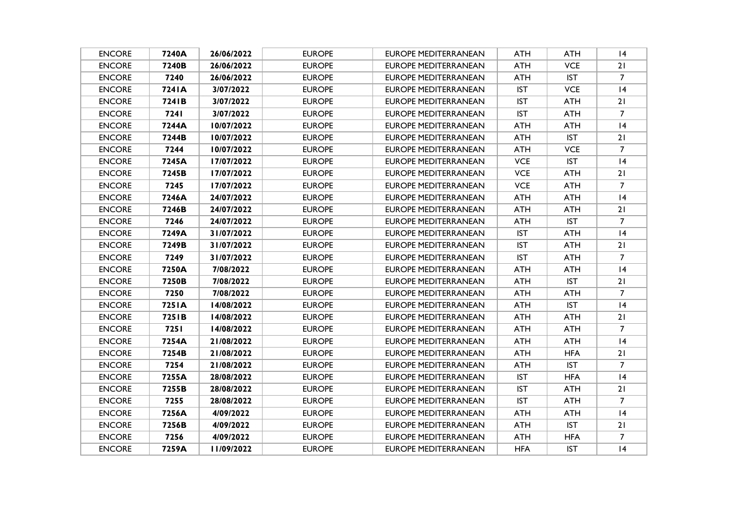| <b>ENCORE</b> | 7240A  | 26/06/2022 | <b>EUROPE</b> | <b>EUROPE MEDITERRANEAN</b> | <b>ATH</b> | <b>ATH</b> | 14             |
|---------------|--------|------------|---------------|-----------------------------|------------|------------|----------------|
| <b>ENCORE</b> | 7240B  | 26/06/2022 | <b>EUROPE</b> | EUROPE MEDITERRANEAN        | ATH        | <b>VCE</b> | 21             |
| <b>ENCORE</b> | 7240   | 26/06/2022 | <b>EUROPE</b> | <b>EUROPE MEDITERRANEAN</b> | ATH        | <b>IST</b> | $\overline{7}$ |
| <b>ENCORE</b> | 7241A  | 3/07/2022  | <b>EUROPE</b> | EUROPE MEDITERRANEAN        | <b>IST</b> | <b>VCE</b> | 4              |
| <b>ENCORE</b> | 7241B  | 3/07/2022  | <b>EUROPE</b> | <b>EUROPE MEDITERRANEAN</b> | <b>IST</b> | ATH        | 21             |
| <b>ENCORE</b> | 7241   | 3/07/2022  | <b>EUROPE</b> | EUROPE MEDITERRANEAN        | <b>IST</b> | ATH        | $\overline{7}$ |
| <b>ENCORE</b> | 7244A  | 10/07/2022 | <b>EUROPE</b> | <b>EUROPE MEDITERRANEAN</b> | <b>ATH</b> | <b>ATH</b> | 4              |
| <b>ENCORE</b> | 7244B  | 10/07/2022 | <b>EUROPE</b> | <b>EUROPE MEDITERRANEAN</b> | <b>ATH</b> | <b>IST</b> | 21             |
| <b>ENCORE</b> | 7244   | 10/07/2022 | <b>EUROPE</b> | EUROPE MEDITERRANEAN        | <b>ATH</b> | <b>VCE</b> | $\overline{7}$ |
| <b>ENCORE</b> | 7245A  | 17/07/2022 | <b>EUROPE</b> | EUROPE MEDITERRANEAN        | <b>VCE</b> | <b>IST</b> | 4              |
| <b>ENCORE</b> | 7245B  | 17/07/2022 | <b>EUROPE</b> | EUROPE MEDITERRANEAN        | <b>VCE</b> | ATH        | 21             |
| <b>ENCORE</b> | 7245   | 17/07/2022 | <b>EUROPE</b> | EUROPE MEDITERRANEAN        | <b>VCE</b> | <b>ATH</b> | $\overline{7}$ |
| <b>ENCORE</b> | 7246A  | 24/07/2022 | <b>EUROPE</b> | <b>EUROPE MEDITERRANEAN</b> | ATH        | ATH        | 4              |
| <b>ENCORE</b> | 7246B  | 24/07/2022 | <b>EUROPE</b> | EUROPE MEDITERRANEAN        | ATH        | ATH        | 21             |
| <b>ENCORE</b> | 7246   | 24/07/2022 | <b>EUROPE</b> | <b>EUROPE MEDITERRANEAN</b> | <b>ATH</b> | <b>IST</b> | 7              |
| <b>ENCORE</b> | 7249A  | 31/07/2022 | <b>EUROPE</b> | <b>EUROPE MEDITERRANEAN</b> | <b>IST</b> | <b>ATH</b> | 4              |
| <b>ENCORE</b> | 7249B  | 31/07/2022 | <b>EUROPE</b> | <b>EUROPE MEDITERRANEAN</b> | <b>IST</b> | <b>ATH</b> | 21             |
| <b>ENCORE</b> | 7249   | 31/07/2022 | <b>EUROPE</b> | <b>EUROPE MEDITERRANEAN</b> | <b>IST</b> | <b>ATH</b> | $7^{\circ}$    |
| <b>ENCORE</b> | 7250A  | 7/08/2022  | <b>EUROPE</b> | EUROPE MEDITERRANEAN        | <b>ATH</b> | ATH        | 4              |
| <b>ENCORE</b> | 7250B  | 7/08/2022  | <b>EUROPE</b> | <b>EUROPE MEDITERRANEAN</b> | ATH        | <b>IST</b> | 21             |
| <b>ENCORE</b> | 7250   | 7/08/2022  | <b>EUROPE</b> | <b>EUROPE MEDITERRANEAN</b> | ATH        | ATH        | $\overline{7}$ |
| <b>ENCORE</b> | 7251A  | 14/08/2022 | <b>EUROPE</b> | <b>EUROPE MEDITERRANEAN</b> | ATH        | <b>IST</b> | 4              |
| <b>ENCORE</b> | 725 IB | 14/08/2022 | <b>EUROPE</b> | EUROPE MEDITERRANEAN        | ATH        | <b>ATH</b> | 21             |
| <b>ENCORE</b> | 7251   | 14/08/2022 | <b>EUROPE</b> | EUROPE MEDITERRANEAN        | <b>ATH</b> | <b>ATH</b> | $\overline{7}$ |
| <b>ENCORE</b> | 7254A  | 21/08/2022 | <b>EUROPE</b> | <b>EUROPE MEDITERRANEAN</b> | <b>ATH</b> | <b>ATH</b> | 4              |
| <b>ENCORE</b> | 7254B  | 21/08/2022 | <b>EUROPE</b> | <b>EUROPE MEDITERRANEAN</b> | ATH        | <b>HFA</b> | 21             |
| <b>ENCORE</b> | 7254   | 21/08/2022 | <b>EUROPE</b> | <b>EUROPE MEDITERRANEAN</b> | <b>ATH</b> | <b>IST</b> | $\overline{7}$ |
| <b>ENCORE</b> | 7255A  | 28/08/2022 | <b>EUROPE</b> | <b>EUROPE MEDITERRANEAN</b> | <b>IST</b> | <b>HFA</b> | 4              |
| <b>ENCORE</b> | 7255B  | 28/08/2022 | <b>EUROPE</b> | EUROPE MEDITERRANEAN        | <b>IST</b> | <b>ATH</b> | 21             |
| <b>ENCORE</b> | 7255   | 28/08/2022 | <b>EUROPE</b> | EUROPE MEDITERRANEAN        | <b>IST</b> | <b>ATH</b> | $\overline{7}$ |
| <b>ENCORE</b> | 7256A  | 4/09/2022  | <b>EUROPE</b> | <b>EUROPE MEDITERRANEAN</b> | ATH        | <b>ATH</b> | 4              |
| <b>ENCORE</b> | 7256B  | 4/09/2022  | <b>EUROPE</b> | <b>EUROPE MEDITERRANEAN</b> | <b>ATH</b> | <b>IST</b> | 21             |
| <b>ENCORE</b> | 7256   | 4/09/2022  | <b>EUROPE</b> | <b>EUROPE MEDITERRANEAN</b> | ATH        | <b>HFA</b> | $\overline{7}$ |
| <b>ENCORE</b> | 7259A  | 11/09/2022 | <b>EUROPE</b> | EUROPE MEDITERRANEAN        | <b>HFA</b> | <b>IST</b> | 4              |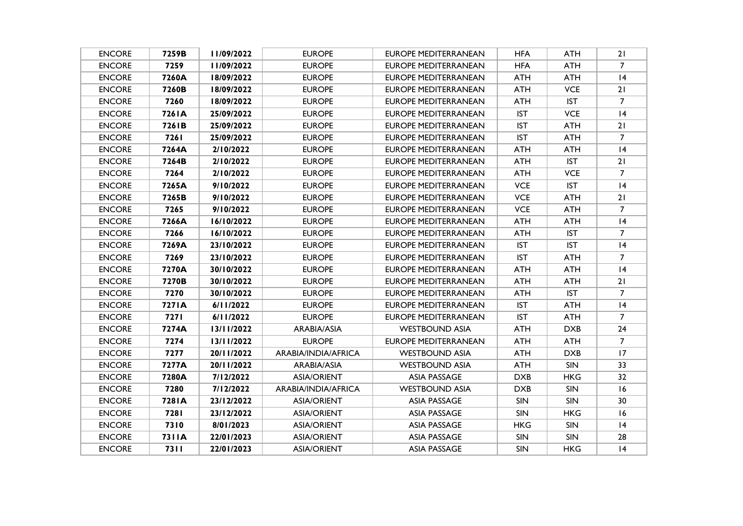| <b>ENCORE</b> | 7259B       | 11/09/2022 | <b>EUROPE</b>       | EUROPE MEDITERRANEAN        | <b>HFA</b> | ATH        | 21             |
|---------------|-------------|------------|---------------------|-----------------------------|------------|------------|----------------|
| <b>ENCORE</b> | 7259        | 11/09/2022 | <b>EUROPE</b>       | EUROPE MEDITERRANEAN        | <b>HFA</b> | <b>ATH</b> | $\overline{7}$ |
| <b>ENCORE</b> | 7260A       | 18/09/2022 | <b>EUROPE</b>       | EUROPE MEDITERRANEAN        | <b>ATH</b> | ATH        | 4              |
| <b>ENCORE</b> | 7260B       | 18/09/2022 | <b>EUROPE</b>       | EUROPE MEDITERRANEAN        | ATH        | <b>VCE</b> | 21             |
| <b>ENCORE</b> | 7260        | 18/09/2022 | <b>EUROPE</b>       | <b>EUROPE MEDITERRANEAN</b> | ATH        | <b>IST</b> | 7              |
| <b>ENCORE</b> | 726 I A     | 25/09/2022 | <b>EUROPE</b>       | <b>EUROPE MEDITERRANEAN</b> | <b>IST</b> | <b>VCE</b> | 4              |
| <b>ENCORE</b> | 7261B       | 25/09/2022 | <b>EUROPE</b>       | <b>EUROPE MEDITERRANEAN</b> | <b>IST</b> | <b>ATH</b> | 21             |
| <b>ENCORE</b> | 7261        | 25/09/2022 | <b>EUROPE</b>       | <b>EUROPE MEDITERRANEAN</b> | <b>IST</b> | <b>ATH</b> | $\overline{7}$ |
| <b>ENCORE</b> | 7264A       | 2/10/2022  | <b>EUROPE</b>       | EUROPE MEDITERRANEAN        | <b>ATH</b> | <b>ATH</b> | 4              |
| <b>ENCORE</b> | 7264B       | 2/10/2022  | <b>EUROPE</b>       | <b>EUROPE MEDITERRANEAN</b> | <b>ATH</b> | <b>IST</b> | 21             |
| <b>ENCORE</b> | 7264        | 2/10/2022  | <b>EUROPE</b>       | EUROPE MEDITERRANEAN        | <b>ATH</b> | <b>VCE</b> | $\overline{7}$ |
| <b>ENCORE</b> | 7265A       | 9/10/2022  | <b>EUROPE</b>       | EUROPE MEDITERRANEAN        | <b>VCE</b> | <b>IST</b> | 4              |
| <b>ENCORE</b> | 7265B       | 9/10/2022  | <b>EUROPE</b>       | <b>EUROPE MEDITERRANEAN</b> | <b>VCE</b> | <b>ATH</b> | 21             |
| <b>ENCORE</b> | 7265        | 9/10/2022  | <b>EUROPE</b>       | EUROPE MEDITERRANEAN        | <b>VCE</b> | ATH        | $\overline{7}$ |
| <b>ENCORE</b> | 7266A       | 16/10/2022 | <b>EUROPE</b>       | <b>EUROPE MEDITERRANEAN</b> | <b>ATH</b> | <b>ATH</b> | 4              |
| <b>ENCORE</b> | 7266        | 16/10/2022 | <b>EUROPE</b>       | EUROPE MEDITERRANEAN        | ATH        | <b>IST</b> | $\overline{7}$ |
| <b>ENCORE</b> | 7269A       | 23/10/2022 | <b>EUROPE</b>       | <b>EUROPE MEDITERRANEAN</b> | <b>IST</b> | <b>IST</b> | 4              |
| <b>ENCORE</b> | 7269        | 23/10/2022 | <b>EUROPE</b>       | EUROPE MEDITERRANEAN        | <b>IST</b> | <b>ATH</b> | $\overline{7}$ |
| <b>ENCORE</b> | 7270A       | 30/10/2022 | <b>EUROPE</b>       | EUROPE MEDITERRANEAN        | ATH        | ATH        | 4              |
| <b>ENCORE</b> | 7270B       | 30/10/2022 | <b>EUROPE</b>       | <b>EUROPE MEDITERRANEAN</b> | <b>ATH</b> | <b>ATH</b> | 21             |
| <b>ENCORE</b> | 7270        | 30/10/2022 | <b>EUROPE</b>       | EUROPE MEDITERRANEAN        | <b>ATH</b> | <b>IST</b> | $\overline{7}$ |
| <b>ENCORE</b> | 7271A       | 6/11/2022  | <b>EUROPE</b>       | <b>EUROPE MEDITERRANEAN</b> | <b>IST</b> | ATH        | 4              |
| <b>ENCORE</b> | <b>7271</b> | 6/11/2022  | <b>EUROPE</b>       | EUROPE MEDITERRANEAN        | <b>IST</b> | <b>ATH</b> | $\overline{7}$ |
| <b>ENCORE</b> | 7274A       | 13/11/2022 | ARABIA/ASIA         | WESTBOUND ASIA              | ATH        | <b>DXB</b> | 24             |
| <b>ENCORE</b> | 7274        | 13/11/2022 | <b>EUROPE</b>       | <b>EUROPE MEDITERRANEAN</b> | <b>ATH</b> | <b>ATH</b> | $\overline{7}$ |
| <b>ENCORE</b> | 7277        | 20/11/2022 | ARABIA/INDIA/AFRICA | WESTBOUND ASIA              | ATH        | <b>DXB</b> | 17             |
| <b>ENCORE</b> | 7277A       | 20/11/2022 | ARABIA/ASIA         | <b>WESTBOUND ASIA</b>       | ATH        | <b>SIN</b> | 33             |
| <b>ENCORE</b> | 7280A       | 7/12/2022  | ASIA/ORIENT         | <b>ASIA PASSAGE</b>         | <b>DXB</b> | <b>HKG</b> | 32             |
| <b>ENCORE</b> | 7280        | 7/12/2022  | ARABIA/INDIA/AFRICA | <b>WESTBOUND ASIA</b>       | <b>DXB</b> | <b>SIN</b> | 16             |
| <b>ENCORE</b> | 7281A       | 23/12/2022 | ASIA/ORIENT         | <b>ASIA PASSAGE</b>         | <b>SIN</b> | SIN        | 30             |
| <b>ENCORE</b> | 7281        | 23/12/2022 | <b>ASIA/ORIENT</b>  | <b>ASIA PASSAGE</b>         | <b>SIN</b> | <b>HKG</b> | 16             |
| <b>ENCORE</b> | 7310        | 8/01/2023  | <b>ASIA/ORIENT</b>  | <b>ASIA PASSAGE</b>         | HKG        | <b>SIN</b> | 4              |
| <b>ENCORE</b> | 7311A       | 22/01/2023 | <b>ASIA/ORIENT</b>  | <b>ASIA PASSAGE</b>         | <b>SIN</b> | <b>SIN</b> | 28             |
| <b>ENCORE</b> | 7311        | 22/01/2023 | <b>ASIA/ORIENT</b>  | <b>ASIA PASSAGE</b>         | <b>SIN</b> | <b>HKG</b> | 4              |
|               |             |            |                     |                             |            |            |                |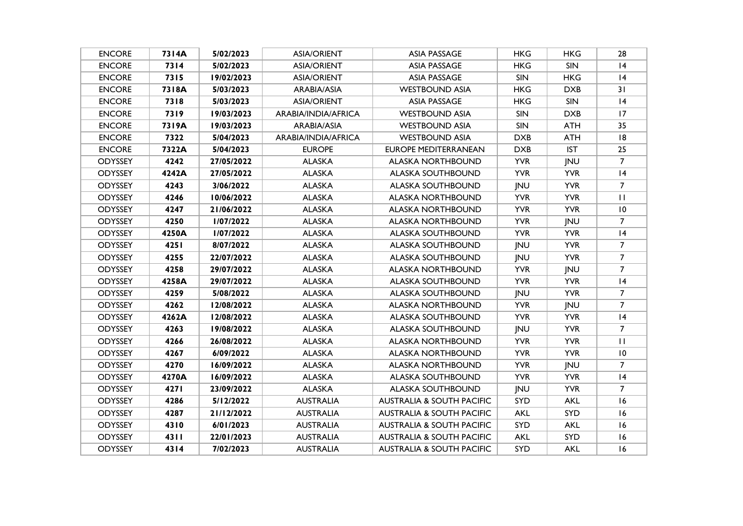| <b>ENCORE</b>  | 7314A | 5/02/2023  | <b>ASIA/ORIENT</b>  | <b>ASIA PASSAGE</b>                  | <b>HKG</b> | <b>HKG</b> | 28             |
|----------------|-------|------------|---------------------|--------------------------------------|------------|------------|----------------|
| <b>ENCORE</b>  | 7314  | 5/02/2023  | <b>ASIA/ORIENT</b>  | <b>ASIA PASSAGE</b>                  | <b>HKG</b> | SIN        | 4              |
| <b>ENCORE</b>  | 7315  | 19/02/2023 | <b>ASIA/ORIENT</b>  | <b>ASIA PASSAGE</b>                  | <b>SIN</b> | <b>HKG</b> | 4              |
| <b>ENCORE</b>  | 7318A | 5/03/2023  | ARABIA/ASIA         | <b>WESTBOUND ASIA</b>                | <b>HKG</b> | <b>DXB</b> | 31             |
| <b>ENCORE</b>  | 7318  | 5/03/2023  | <b>ASIA/ORIENT</b>  | <b>ASIA PASSAGE</b>                  | <b>HKG</b> | SIN        | 4              |
| <b>ENCORE</b>  | 7319  | 19/03/2023 | ARABIA/INDIA/AFRICA | <b>WESTBOUND ASIA</b>                | <b>SIN</b> | <b>DXB</b> | 17             |
| <b>ENCORE</b>  | 7319A | 19/03/2023 | ARABIA/ASIA         | <b>WESTBOUND ASIA</b>                | SIN        | <b>ATH</b> | 35             |
| <b>ENCORE</b>  | 7322  | 5/04/2023  | ARABIA/INDIA/AFRICA | <b>WESTBOUND ASIA</b>                | <b>DXB</b> | <b>ATH</b> | 8              |
| <b>ENCORE</b>  | 7322A | 5/04/2023  | <b>EUROPE</b>       | <b>EUROPE MEDITERRANEAN</b>          | <b>DXB</b> | <b>IST</b> | 25             |
| ODYSSEY        | 4242  | 27/05/2022 | <b>ALASKA</b>       | <b>ALASKA NORTHBOUND</b>             | <b>YVR</b> | JNU        | $\overline{7}$ |
| <b>ODYSSEY</b> | 4242A | 27/05/2022 | <b>ALASKA</b>       | <b>ALASKA SOUTHBOUND</b>             | <b>YVR</b> | <b>YVR</b> | 4              |
| <b>ODYSSEY</b> | 4243  | 3/06/2022  | <b>ALASKA</b>       | <b>ALASKA SOUTHBOUND</b>             | JNU        | <b>YVR</b> | $\overline{7}$ |
| <b>ODYSSEY</b> | 4246  | 10/06/2022 | <b>ALASKA</b>       | <b>ALASKA NORTHBOUND</b>             | <b>YVR</b> | <b>YVR</b> | $\mathbf{H}$   |
| <b>ODYSSEY</b> | 4247  | 21/06/2022 | <b>ALASKA</b>       | <b>ALASKA NORTHBOUND</b>             | <b>YVR</b> | <b>YVR</b> | 10             |
| ODYSSEY        | 4250  | 1/07/2022  | <b>ALASKA</b>       | <b>ALASKA NORTHBOUND</b>             | <b>YVR</b> | JNU        | $\overline{7}$ |
| <b>ODYSSEY</b> | 4250A | 1/07/2022  | <b>ALASKA</b>       | <b>ALASKA SOUTHBOUND</b>             | <b>YVR</b> | <b>YVR</b> | 4              |
| <b>ODYSSEY</b> | 4251  | 8/07/2022  | <b>ALASKA</b>       | <b>ALASKA SOUTHBOUND</b>             | <b>JNU</b> | <b>YVR</b> | $\overline{7}$ |
| <b>ODYSSEY</b> | 4255  | 22/07/2022 | <b>ALASKA</b>       | <b>ALASKA SOUTHBOUND</b>             | <b>JNU</b> | <b>YVR</b> | $\overline{7}$ |
| <b>ODYSSEY</b> | 4258  | 29/07/2022 | <b>ALASKA</b>       | <b>ALASKA NORTHBOUND</b>             | <b>YVR</b> | <b>JNU</b> | $\overline{7}$ |
| <b>ODYSSEY</b> | 4258A | 29/07/2022 | <b>ALASKA</b>       | <b>ALASKA SOUTHBOUND</b>             | <b>YVR</b> | <b>YVR</b> | 4              |
| <b>ODYSSEY</b> | 4259  | 5/08/2022  | <b>ALASKA</b>       | <b>ALASKA SOUTHBOUND</b>             | <b>JNU</b> | <b>YVR</b> | $\overline{7}$ |
| <b>ODYSSEY</b> | 4262  | 12/08/2022 | <b>ALASKA</b>       | <b>ALASKA NORTHBOUND</b>             | <b>YVR</b> | <b>JNU</b> | $\overline{7}$ |
| <b>ODYSSEY</b> | 4262A | 12/08/2022 | <b>ALASKA</b>       | <b>ALASKA SOUTHBOUND</b>             | <b>YVR</b> | <b>YVR</b> | 4              |
| <b>ODYSSEY</b> | 4263  | 19/08/2022 | <b>ALASKA</b>       | <b>ALASKA SOUTHBOUND</b>             | JNU        | <b>YVR</b> | $\overline{7}$ |
| <b>ODYSSEY</b> | 4266  | 26/08/2022 | <b>ALASKA</b>       | <b>ALASKA NORTHBOUND</b>             | <b>YVR</b> | <b>YVR</b> | $\mathbf{H}$   |
| <b>ODYSSEY</b> | 4267  | 6/09/2022  | <b>ALASKA</b>       | <b>ALASKA NORTHBOUND</b>             | <b>YVR</b> | <b>YVR</b> | 10             |
| <b>ODYSSEY</b> | 4270  | 16/09/2022 | <b>ALASKA</b>       | <b>ALASKA NORTHBOUND</b>             | <b>YVR</b> | JNU        | $\overline{7}$ |
| <b>ODYSSEY</b> | 4270A | 16/09/2022 | <b>ALASKA</b>       | <b>ALASKA SOUTHBOUND</b>             | <b>YVR</b> | <b>YVR</b> | 4              |
| <b>ODYSSEY</b> | 4271  | 23/09/2022 | <b>ALASKA</b>       | <b>ALASKA SOUTHBOUND</b>             | JNU        | <b>YVR</b> | $\overline{7}$ |
| ODYSSEY        | 4286  | 5/12/2022  | <b>AUSTRALIA</b>    | <b>AUSTRALIA &amp; SOUTH PACIFIC</b> | SYD        | <b>AKL</b> | 16             |
| <b>ODYSSEY</b> | 4287  | 21/12/2022 | <b>AUSTRALIA</b>    | <b>AUSTRALIA &amp; SOUTH PACIFIC</b> | <b>AKL</b> | SYD        | 16             |
| ODYSSEY        | 4310  | 6/01/2023  | <b>AUSTRALIA</b>    | <b>AUSTRALIA &amp; SOUTH PACIFIC</b> | SYD        | <b>AKL</b> | 16             |
| <b>ODYSSEY</b> | 4311  | 22/01/2023 | <b>AUSTRALIA</b>    | <b>AUSTRALIA &amp; SOUTH PACIFIC</b> | <b>AKL</b> | SYD        | 16             |
| <b>ODYSSEY</b> | 4314  | 7/02/2023  | <b>AUSTRALIA</b>    | <b>AUSTRALIA &amp; SOUTH PACIFIC</b> | SYD        | <b>AKL</b> | 16             |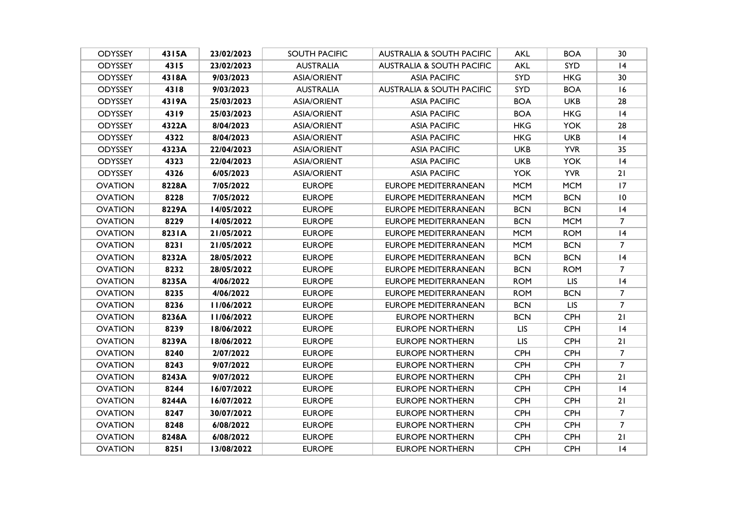| <b>ODYSSEY</b> | 4315A  | 23/02/2023 | <b>SOUTH PACIFIC</b> | <b>AUSTRALIA &amp; SOUTH PACIFIC</b> | AKL        | <b>BOA</b> | 30             |
|----------------|--------|------------|----------------------|--------------------------------------|------------|------------|----------------|
| <b>ODYSSEY</b> | 4315   | 23/02/2023 | <b>AUSTRALIA</b>     | <b>AUSTRALIA &amp; SOUTH PACIFIC</b> | <b>AKL</b> | <b>SYD</b> | 4              |
| <b>ODYSSEY</b> | 4318A  | 9/03/2023  | <b>ASIA/ORIENT</b>   | <b>ASIA PACIFIC</b>                  | <b>SYD</b> | <b>HKG</b> | 30             |
| <b>ODYSSEY</b> | 4318   | 9/03/2023  | <b>AUSTRALIA</b>     | <b>AUSTRALIA &amp; SOUTH PACIFIC</b> | <b>SYD</b> | <b>BOA</b> | 16             |
| <b>ODYSSEY</b> | 4319A  | 25/03/2023 | <b>ASIA/ORIENT</b>   | <b>ASIA PACIFIC</b>                  | <b>BOA</b> | <b>UKB</b> | 28             |
| <b>ODYSSEY</b> | 4319   | 25/03/2023 | <b>ASIA/ORIENT</b>   | <b>ASIA PACIFIC</b>                  | <b>BOA</b> | <b>HKG</b> | 4              |
| <b>ODYSSEY</b> | 4322A  | 8/04/2023  | <b>ASIA/ORIENT</b>   | <b>ASIA PACIFIC</b>                  | HKG.       | <b>YOK</b> | 28             |
| <b>ODYSSEY</b> | 4322   | 8/04/2023  | <b>ASIA/ORIENT</b>   | <b>ASIA PACIFIC</b>                  | <b>HKG</b> | <b>UKB</b> | 4              |
| <b>ODYSSEY</b> | 4323A  | 22/04/2023 | <b>ASIA/ORIENT</b>   | <b>ASIA PACIFIC</b>                  | <b>UKB</b> | <b>YVR</b> | 35             |
| <b>ODYSSEY</b> | 4323   | 22/04/2023 | <b>ASIA/ORIENT</b>   | <b>ASIA PACIFIC</b>                  | <b>UKB</b> | <b>YOK</b> | 4              |
| <b>ODYSSEY</b> | 4326   | 6/05/2023  | <b>ASIA/ORIENT</b>   | <b>ASIA PACIFIC</b>                  | <b>YOK</b> | <b>YVR</b> | 21             |
| <b>OVATION</b> | 8228A  | 7/05/2022  | <b>EUROPE</b>        | <b>EUROPE MEDITERRANEAN</b>          | <b>MCM</b> | <b>MCM</b> | 17             |
| <b>OVATION</b> | 8228   | 7/05/2022  | <b>EUROPE</b>        | <b>EUROPE MEDITERRANEAN</b>          | <b>MCM</b> | <b>BCN</b> | 10             |
| <b>OVATION</b> | 8229A  | 14/05/2022 | <b>EUROPE</b>        | EUROPE MEDITERRANEAN                 | <b>BCN</b> | <b>BCN</b> | 4              |
| <b>OVATION</b> | 8229   | 14/05/2022 | <b>EUROPE</b>        | <b>EUROPE MEDITERRANEAN</b>          | <b>BCN</b> | <b>MCM</b> | $\overline{7}$ |
| <b>OVATION</b> | 823 IA | 21/05/2022 | <b>EUROPE</b>        | <b>EUROPE MEDITERRANEAN</b>          | <b>MCM</b> | <b>ROM</b> | 4              |
| <b>OVATION</b> | 8231   | 21/05/2022 | <b>EUROPE</b>        | <b>EUROPE MEDITERRANEAN</b>          | <b>MCM</b> | <b>BCN</b> | $\overline{7}$ |
| <b>OVATION</b> | 8232A  | 28/05/2022 | <b>EUROPE</b>        | <b>EUROPE MEDITERRANEAN</b>          | <b>BCN</b> | <b>BCN</b> | 4              |
| <b>OVATION</b> | 8232   | 28/05/2022 | <b>EUROPE</b>        | EUROPE MEDITERRANEAN                 | <b>BCN</b> | <b>ROM</b> | $\overline{7}$ |
| <b>OVATION</b> | 8235A  | 4/06/2022  | <b>EUROPE</b>        | <b>EUROPE MEDITERRANEAN</b>          | <b>ROM</b> | <b>LIS</b> | 4              |
| <b>OVATION</b> | 8235   | 4/06/2022  | <b>EUROPE</b>        | <b>EUROPE MEDITERRANEAN</b>          | <b>ROM</b> | <b>BCN</b> | $\overline{7}$ |
| <b>OVATION</b> | 8236   | 11/06/2022 | <b>EUROPE</b>        | <b>EUROPE MEDITERRANEAN</b>          | <b>BCN</b> | <b>LIS</b> | $\overline{7}$ |
| <b>OVATION</b> | 8236A  | 11/06/2022 | <b>EUROPE</b>        | <b>EUROPE NORTHERN</b>               | <b>BCN</b> | <b>CPH</b> | 21             |
| <b>OVATION</b> | 8239   | 18/06/2022 | <b>EUROPE</b>        | <b>EUROPE NORTHERN</b>               | <b>LIS</b> | <b>CPH</b> | 4              |
| <b>OVATION</b> | 8239A  | 18/06/2022 | <b>EUROPE</b>        | <b>EUROPE NORTHERN</b>               | <b>LIS</b> | CPH        | 21             |
| <b>OVATION</b> | 8240   | 2/07/2022  | <b>EUROPE</b>        | <b>EUROPE NORTHERN</b>               | <b>CPH</b> | <b>CPH</b> | $\overline{7}$ |
| <b>OVATION</b> | 8243   | 9/07/2022  | <b>EUROPE</b>        | <b>EUROPE NORTHERN</b>               | <b>CPH</b> | <b>CPH</b> | $\overline{7}$ |
| <b>OVATION</b> | 8243A  | 9/07/2022  | <b>EUROPE</b>        | <b>EUROPE NORTHERN</b>               | <b>CPH</b> | CPH        | 21             |
| <b>OVATION</b> | 8244   | 16/07/2022 | <b>EUROPE</b>        | EUROPE NORTHERN                      | <b>CPH</b> | <b>CPH</b> | 4              |
| <b>OVATION</b> | 8244A  | 16/07/2022 | <b>EUROPE</b>        | <b>EUROPE NORTHERN</b>               | <b>CPH</b> | <b>CPH</b> | 21             |
| <b>OVATION</b> | 8247   | 30/07/2022 | <b>EUROPE</b>        | <b>EUROPE NORTHERN</b>               | <b>CPH</b> | <b>CPH</b> | $\overline{7}$ |
| <b>OVATION</b> | 8248   | 6/08/2022  | <b>EUROPE</b>        | <b>EUROPE NORTHERN</b>               | <b>CPH</b> | <b>CPH</b> | $\overline{7}$ |
| <b>OVATION</b> | 8248A  | 6/08/2022  | <b>EUROPE</b>        | <b>EUROPE NORTHERN</b>               | <b>CPH</b> | <b>CPH</b> | 21             |
| <b>OVATION</b> | 8251   | 13/08/2022 | <b>EUROPE</b>        | <b>EUROPE NORTHERN</b>               | <b>CPH</b> | <b>CPH</b> | 4              |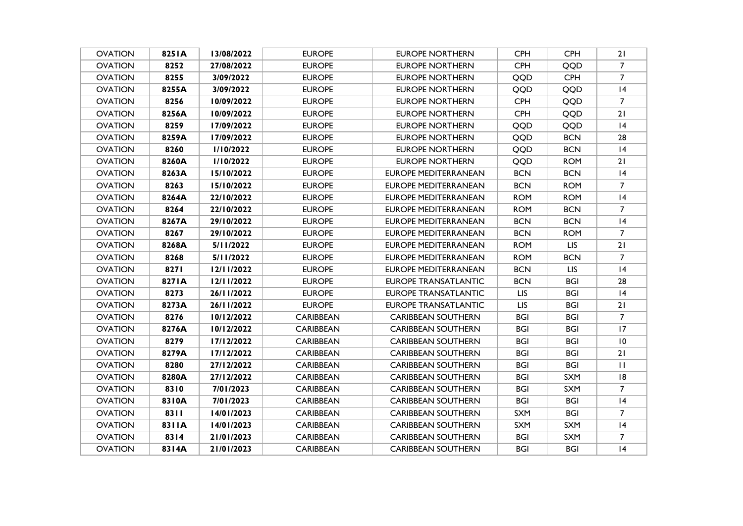| <b>OVATION</b> | 825 IA | 13/08/2022 | <b>EUROPE</b>    | <b>EUROPE NORTHERN</b>      | <b>CPH</b> | <b>CPH</b> | 21             |
|----------------|--------|------------|------------------|-----------------------------|------------|------------|----------------|
| <b>OVATION</b> | 8252   | 27/08/2022 | <b>EUROPE</b>    | <b>EUROPE NORTHERN</b>      | <b>CPH</b> | QQD        | $\overline{7}$ |
| <b>OVATION</b> | 8255   | 3/09/2022  | <b>EUROPE</b>    | <b>EUROPE NORTHERN</b>      | QQD        | <b>CPH</b> | $\overline{7}$ |
| <b>OVATION</b> | 8255A  | 3/09/2022  | <b>EUROPE</b>    | EUROPE NORTHERN             | QQD        | QQD        | 4              |
| <b>OVATION</b> | 8256   | 10/09/2022 | <b>EUROPE</b>    | <b>EUROPE NORTHERN</b>      | <b>CPH</b> | QQD        | 7              |
| <b>OVATION</b> | 8256A  | 10/09/2022 | <b>EUROPE</b>    | <b>EUROPE NORTHERN</b>      | <b>CPH</b> | QQD        | 21             |
| <b>OVATION</b> | 8259   | 17/09/2022 | <b>EUROPE</b>    | <b>EUROPE NORTHERN</b>      | QQD        | QQD        | 4              |
| <b>OVATION</b> | 8259A  | 17/09/2022 | <b>EUROPE</b>    | <b>EUROPE NORTHERN</b>      | QQD        | <b>BCN</b> | 28             |
| <b>OVATION</b> | 8260   | 1/10/2022  | <b>EUROPE</b>    | EUROPE NORTHERN             | QQD        | <b>BCN</b> | 4              |
| <b>OVATION</b> | 8260A  | 1/10/2022  | <b>EUROPE</b>    | <b>EUROPE NORTHERN</b>      | QQD        | <b>ROM</b> | 21             |
| <b>OVATION</b> | 8263A  | 15/10/2022 | <b>EUROPE</b>    | EUROPE MEDITERRANEAN        | <b>BCN</b> | <b>BCN</b> | 4              |
| <b>OVATION</b> | 8263   | 15/10/2022 | <b>EUROPE</b>    | <b>EUROPE MEDITERRANEAN</b> | <b>BCN</b> | <b>ROM</b> | $\overline{7}$ |
| <b>OVATION</b> | 8264A  | 22/10/2022 | <b>EUROPE</b>    | EUROPE MEDITERRANEAN        | <b>ROM</b> | <b>ROM</b> | 4              |
| <b>OVATION</b> | 8264   | 22/10/2022 | <b>EUROPE</b>    | EUROPE MEDITERRANEAN        | <b>ROM</b> | <b>BCN</b> | 7              |
| <b>OVATION</b> | 8267A  | 29/10/2022 | <b>EUROPE</b>    | <b>EUROPE MEDITERRANEAN</b> | <b>BCN</b> | <b>BCN</b> | 4              |
| <b>OVATION</b> | 8267   | 29/10/2022 | <b>EUROPE</b>    | EUROPE MEDITERRANEAN        | <b>BCN</b> | <b>ROM</b> | $\overline{7}$ |
| <b>OVATION</b> | 8268A  | 5/11/2022  | <b>EUROPE</b>    | <b>EUROPE MEDITERRANEAN</b> | <b>ROM</b> | <b>LIS</b> | 21             |
| <b>OVATION</b> | 8268   | 5/11/2022  | <b>EUROPE</b>    | <b>EUROPE MEDITERRANEAN</b> | <b>ROM</b> | <b>BCN</b> | $\overline{7}$ |
| <b>OVATION</b> | 8271   | 12/11/2022 | <b>EUROPE</b>    | <b>EUROPE MEDITERRANEAN</b> | <b>BCN</b> | <b>LIS</b> | 4              |
| <b>OVATION</b> | 8271A  | 12/11/2022 | <b>EUROPE</b>    | <b>EUROPE TRANSATLANTIC</b> | <b>BCN</b> | <b>BGI</b> | 28             |
| <b>OVATION</b> | 8273   | 26/11/2022 | <b>EUROPE</b>    | EUROPE TRANSATLANTIC        | <b>LIS</b> | <b>BGI</b> | 4              |
| <b>OVATION</b> | 8273A  | 26/11/2022 | <b>EUROPE</b>    | EUROPE TRANSATLANTIC        | <b>LIS</b> | <b>BGI</b> | 21             |
| <b>OVATION</b> | 8276   | 10/12/2022 | <b>CARIBBEAN</b> | <b>CARIBBEAN SOUTHERN</b>   | <b>BGI</b> | <b>BGI</b> | $\overline{7}$ |
| OVATION        | 8276A  | 10/12/2022 | CARIBBEAN        | <b>CARIBBEAN SOUTHERN</b>   | BGI        | <b>BGI</b> | 17             |
| <b>OVATION</b> | 8279   | 17/12/2022 | <b>CARIBBEAN</b> | <b>CARIBBEAN SOUTHERN</b>   | <b>BGI</b> | <b>BGI</b> | 10             |
| <b>OVATION</b> | 8279A  | 17/12/2022 | CARIBBEAN        | <b>CARIBBEAN SOUTHERN</b>   | BGI        | <b>BGI</b> | 21             |
| <b>OVATION</b> | 8280   | 27/12/2022 | CARIBBEAN        | <b>CARIBBEAN SOUTHERN</b>   | <b>BGI</b> | <b>BGI</b> | $\mathbf{H}$   |
| <b>OVATION</b> | 8280A  | 27/12/2022 | <b>CARIBBEAN</b> | <b>CARIBBEAN SOUTHERN</b>   | BGI        | SXM        | 8              |
| <b>OVATION</b> | 8310   | 7/01/2023  | <b>CARIBBEAN</b> | <b>CARIBBEAN SOUTHERN</b>   | BGI        | SXM        | $\overline{7}$ |
| <b>OVATION</b> | 8310A  | 7/01/2023  | <b>CARIBBEAN</b> | <b>CARIBBEAN SOUTHERN</b>   | <b>BGI</b> | <b>BGI</b> | 4              |
| <b>OVATION</b> | 8311   | 14/01/2023 | <b>CARIBBEAN</b> | <b>CARIBBEAN SOUTHERN</b>   | <b>SXM</b> | <b>BGI</b> | $\overline{7}$ |
| <b>OVATION</b> | 8311A  | 14/01/2023 | <b>CARIBBEAN</b> | <b>CARIBBEAN SOUTHERN</b>   | <b>SXM</b> | <b>SXM</b> | 4              |
| <b>OVATION</b> | 8314   | 21/01/2023 | <b>CARIBBEAN</b> | <b>CARIBBEAN SOUTHERN</b>   | <b>BGI</b> | SXM        | $\overline{7}$ |
| <b>OVATION</b> | 8314A  | 21/01/2023 | CARIBBEAN        | CARIBBEAN SOUTHERN          | <b>BGI</b> | <b>BGI</b> | 4              |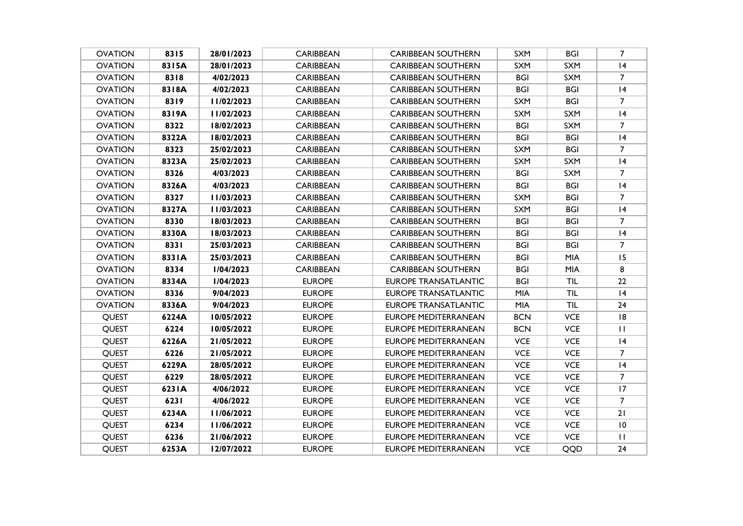| <b>OVATION</b> | 8315  | 28/01/2023 | <b>CARIBBEAN</b> | <b>CARIBBEAN SOUTHERN</b>   | <b>SXM</b> | <b>BGI</b> | $\overline{7}$  |
|----------------|-------|------------|------------------|-----------------------------|------------|------------|-----------------|
| <b>OVATION</b> | 8315A | 28/01/2023 | <b>CARIBBEAN</b> | <b>CARIBBEAN SOUTHERN</b>   | <b>SXM</b> | <b>SXM</b> | 4               |
| <b>OVATION</b> | 8318  | 4/02/2023  | <b>CARIBBEAN</b> | <b>CARIBBEAN SOUTHERN</b>   | BGI        | <b>SXM</b> | $\overline{7}$  |
| <b>OVATION</b> | 8318A | 4/02/2023  | <b>CARIBBEAN</b> | <b>CARIBBEAN SOUTHERN</b>   | <b>BGI</b> | <b>BGI</b> | 4               |
| <b>OVATION</b> | 8319  | 11/02/2023 | <b>CARIBBEAN</b> | <b>CARIBBEAN SOUTHERN</b>   | <b>SXM</b> | <b>BGI</b> | 7               |
| <b>OVATION</b> | 8319A | 11/02/2023 | <b>CARIBBEAN</b> | <b>CARIBBEAN SOUTHERN</b>   | SXM        | <b>SXM</b> | 4               |
| <b>OVATION</b> | 8322  | 18/02/2023 | CARIBBEAN        | <b>CARIBBEAN SOUTHERN</b>   | BGI        | <b>SXM</b> | $\overline{7}$  |
| <b>OVATION</b> | 8322A | 18/02/2023 | <b>CARIBBEAN</b> | <b>CARIBBEAN SOUTHERN</b>   | <b>BGI</b> | <b>BGI</b> | 4               |
| <b>OVATION</b> | 8323  | 25/02/2023 | CARIBBEAN        | <b>CARIBBEAN SOUTHERN</b>   | <b>SXM</b> | <b>BGI</b> | $\overline{7}$  |
| <b>OVATION</b> | 8323A | 25/02/2023 | <b>CARIBBEAN</b> | <b>CARIBBEAN SOUTHERN</b>   | <b>SXM</b> | <b>SXM</b> | 4               |
| <b>OVATION</b> | 8326  | 4/03/2023  | <b>CARIBBEAN</b> | <b>CARIBBEAN SOUTHERN</b>   | BGI        | <b>SXM</b> | $\overline{7}$  |
| <b>OVATION</b> | 8326A | 4/03/2023  | <b>CARIBBEAN</b> | <b>CARIBBEAN SOUTHERN</b>   | <b>BGI</b> | <b>BGI</b> | 4               |
| <b>OVATION</b> | 8327  | 11/03/2023 | <b>CARIBBEAN</b> | <b>CARIBBEAN SOUTHERN</b>   | <b>SXM</b> | <b>BGI</b> | $\overline{7}$  |
| <b>OVATION</b> | 8327A | 11/03/2023 | <b>CARIBBEAN</b> | <b>CARIBBEAN SOUTHERN</b>   | <b>SXM</b> | <b>BGI</b> | 4               |
| <b>OVATION</b> | 8330  | 18/03/2023 | CARIBBEAN        | <b>CARIBBEAN SOUTHERN</b>   | <b>BGI</b> | <b>BGI</b> | 7               |
| <b>OVATION</b> | 8330A | 18/03/2023 | <b>CARIBBEAN</b> | <b>CARIBBEAN SOUTHERN</b>   | <b>BGI</b> | <b>BGI</b> | 4               |
| <b>OVATION</b> | 8331  | 25/03/2023 | <b>CARIBBEAN</b> | <b>CARIBBEAN SOUTHERN</b>   | <b>BGI</b> | <b>BGI</b> | $\overline{7}$  |
| <b>OVATION</b> | 8331A | 25/03/2023 | <b>CARIBBEAN</b> | <b>CARIBBEAN SOUTHERN</b>   | <b>BGI</b> | <b>MIA</b> | 15              |
| <b>OVATION</b> | 8334  | 1/04/2023  | <b>CARIBBEAN</b> | <b>CARIBBEAN SOUTHERN</b>   | <b>BGI</b> | <b>MIA</b> | 8               |
| <b>OVATION</b> | 8334A | 1/04/2023  | <b>EUROPE</b>    | <b>EUROPE TRANSATLANTIC</b> | <b>BGI</b> | <b>TIL</b> | 22              |
| <b>OVATION</b> | 8336  | 9/04/2023  | <b>EUROPE</b>    | EUROPE TRANSATLANTIC        | <b>MIA</b> | <b>TIL</b> | 4               |
| <b>OVATION</b> | 8336A | 9/04/2023  | <b>EUROPE</b>    | <b>EUROPE TRANSATLANTIC</b> | <b>MIA</b> | <b>TIL</b> | 24              |
| <b>QUEST</b>   | 6224A | 10/05/2022 | <b>EUROPE</b>    | <b>EUROPE MEDITERRANEAN</b> | <b>BCN</b> | <b>VCE</b> | 8               |
| QUEST          | 6224  | 10/05/2022 | <b>EUROPE</b>    | <b>EUROPE MEDITERRANEAN</b> | <b>BCN</b> | <b>VCE</b> | $\mathbf{H}$    |
| QUEST          | 6226A | 21/05/2022 | <b>EUROPE</b>    | <b>EUROPE MEDITERRANEAN</b> | <b>VCE</b> | <b>VCE</b> | 4               |
| <b>QUEST</b>   | 6226  | 21/05/2022 | <b>EUROPE</b>    | <b>EUROPE MEDITERRANEAN</b> | <b>VCE</b> | <b>VCE</b> | $\overline{7}$  |
| <b>QUEST</b>   | 6229A | 28/05/2022 | <b>EUROPE</b>    | <b>EUROPE MEDITERRANEAN</b> | <b>VCE</b> | <b>VCE</b> | 4               |
| <b>QUEST</b>   | 6229  | 28/05/2022 | <b>EUROPE</b>    | <b>EUROPE MEDITERRANEAN</b> | <b>VCE</b> | <b>VCE</b> | $7\overline{ }$ |
| QUEST          | 623IA | 4/06/2022  | <b>EUROPE</b>    | <b>EUROPE MEDITERRANEAN</b> | <b>VCE</b> | <b>VCE</b> | 17              |
| <b>QUEST</b>   | 6231  | 4/06/2022  | <b>EUROPE</b>    | <b>EUROPE MEDITERRANEAN</b> | <b>VCE</b> | <b>VCE</b> | $\overline{7}$  |
| <b>QUEST</b>   | 6234A | 11/06/2022 | <b>EUROPE</b>    | <b>EUROPE MEDITERRANEAN</b> | <b>VCE</b> | <b>VCE</b> | 21              |
| <b>QUEST</b>   | 6234  | 11/06/2022 | <b>EUROPE</b>    | <b>EUROPE MEDITERRANEAN</b> | <b>VCE</b> | <b>VCE</b> | 10              |
| <b>QUEST</b>   | 6236  | 21/06/2022 | <b>EUROPE</b>    | <b>EUROPE MEDITERRANEAN</b> | <b>VCE</b> | <b>VCE</b> | $\mathbf{H}$    |
| <b>OUEST</b>   | 6253A | 12/07/2022 | <b>EUROPE</b>    | EUROPE MEDITERRANEAN        | <b>VCE</b> | <b>QQD</b> | 24              |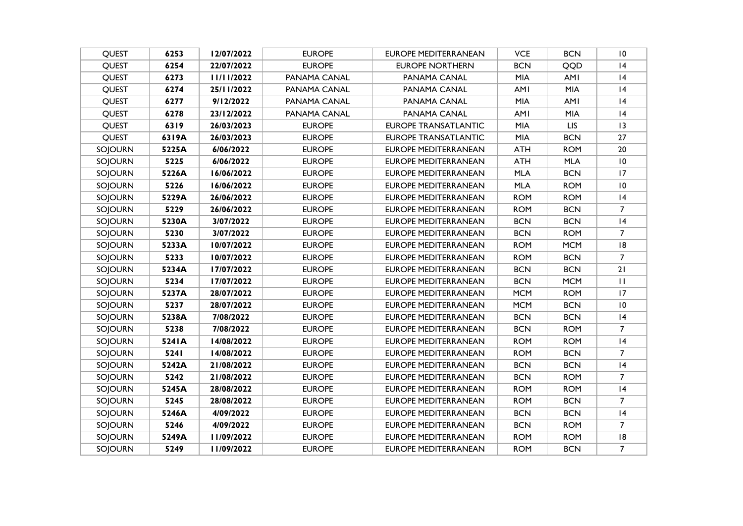| <b>QUEST</b>   | 6253  | 12/07/2022 | <b>EUROPE</b> | <b>EUROPE MEDITERRANEAN</b> | <b>VCE</b> | <b>BCN</b> | 10             |
|----------------|-------|------------|---------------|-----------------------------|------------|------------|----------------|
| <b>QUEST</b>   | 6254  | 22/07/2022 | <b>EUROPE</b> | <b>EUROPE NORTHERN</b>      | <b>BCN</b> | QQD        | 4              |
| <b>QUEST</b>   | 6273  | 11/11/2022 | PANAMA CANAL  | PANAMA CANAL                | <b>MIA</b> | <b>AMI</b> | 4              |
| <b>QUEST</b>   | 6274  | 25/11/2022 | PANAMA CANAL  | PANAMA CANAL                | <b>AMI</b> | <b>MIA</b> | 4              |
| QUEST          | 6277  | 9/12/2022  | PANAMA CANAL  | PANAMA CANAL                | <b>MIA</b> | <b>AMI</b> | 4              |
| <b>QUEST</b>   | 6278  | 23/12/2022 | PANAMA CANAL  | PANAMA CANAL                | <b>AMI</b> | <b>MIA</b> | 4              |
| <b>QUEST</b>   | 6319  | 26/03/2023 | <b>EUROPE</b> | <b>EUROPE TRANSATLANTIC</b> | MIA        | <b>LIS</b> | 3              |
| <b>QUEST</b>   | 6319A | 26/03/2023 | <b>EUROPE</b> | <b>EUROPE TRANSATLANTIC</b> | <b>MIA</b> | <b>BCN</b> | 27             |
| SOJOURN        | 5225A | 6/06/2022  | <b>EUROPE</b> | <b>EUROPE MEDITERRANEAN</b> | <b>ATH</b> | <b>ROM</b> | $20\,$         |
| SOJOURN        | 5225  | 6/06/2022  | <b>EUROPE</b> | <b>EUROPE MEDITERRANEAN</b> | <b>ATH</b> | <b>MLA</b> | 10             |
| SOJOURN        | 5226A | 16/06/2022 | <b>EUROPE</b> | <b>EUROPE MEDITERRANEAN</b> | <b>MLA</b> | <b>BCN</b> | 17             |
| SOJOURN        | 5226  | 16/06/2022 | <b>EUROPE</b> | <b>EUROPE MEDITERRANEAN</b> | <b>MLA</b> | <b>ROM</b> | 10             |
| SOJOURN        | 5229A | 26/06/2022 | <b>EUROPE</b> | <b>EUROPE MEDITERRANEAN</b> | <b>ROM</b> | <b>ROM</b> | 4              |
| SOJOURN        | 5229  | 26/06/2022 | <b>EUROPE</b> | <b>EUROPE MEDITERRANEAN</b> | <b>ROM</b> | <b>BCN</b> | 7              |
| SOJOURN        | 5230A | 3/07/2022  | <b>EUROPE</b> | <b>EUROPE MEDITERRANEAN</b> | <b>BCN</b> | <b>BCN</b> | 4              |
| <b>SOJOURN</b> | 5230  | 3/07/2022  | <b>EUROPE</b> | <b>EUROPE MEDITERRANEAN</b> | <b>BCN</b> | <b>ROM</b> | $\overline{7}$ |
| SOJOURN        | 5233A | 10/07/2022 | <b>EUROPE</b> | <b>EUROPE MEDITERRANEAN</b> | <b>ROM</b> | <b>MCM</b> | 8              |
| SOJOURN        | 5233  | 10/07/2022 | <b>EUROPE</b> | <b>EUROPE MEDITERRANEAN</b> | <b>ROM</b> | <b>BCN</b> | $\overline{7}$ |
| SOJOURN        | 5234A | 17/07/2022 | <b>EUROPE</b> | <b>EUROPE MEDITERRANEAN</b> | <b>BCN</b> | <b>BCN</b> | 21             |
| SOJOURN        | 5234  | 17/07/2022 | <b>EUROPE</b> | <b>EUROPE MEDITERRANEAN</b> | <b>BCN</b> | <b>MCM</b> | $\mathbf{H}$   |
| SOJOURN        | 5237A | 28/07/2022 | <b>EUROPE</b> | <b>EUROPE MEDITERRANEAN</b> | <b>MCM</b> | <b>ROM</b> | 17             |
| SOJOURN        | 5237  | 28/07/2022 | <b>EUROPE</b> | <b>EUROPE MEDITERRANEAN</b> | <b>MCM</b> | <b>BCN</b> | 10             |
| SOJOURN        | 5238A | 7/08/2022  | <b>EUROPE</b> | EUROPE MEDITERRANEAN        | <b>BCN</b> | <b>BCN</b> | 4              |
| SOJOURN        | 5238  | 7/08/2022  | <b>EUROPE</b> | <b>EUROPE MEDITERRANEAN</b> | <b>BCN</b> | <b>ROM</b> | $\overline{7}$ |
| SOJOURN        | 5241A | 14/08/2022 | <b>EUROPE</b> | <b>EUROPE MEDITERRANEAN</b> | <b>ROM</b> | <b>ROM</b> | 4              |
| SOJOURN        | 5241  | 14/08/2022 | <b>EUROPE</b> | <b>EUROPE MEDITERRANEAN</b> | <b>ROM</b> | <b>BCN</b> | $\overline{7}$ |
| SOJOURN        | 5242A | 21/08/2022 | <b>EUROPE</b> | <b>EUROPE MEDITERRANEAN</b> | <b>BCN</b> | <b>BCN</b> | 4              |
| SOJOURN        | 5242  | 21/08/2022 | <b>EUROPE</b> | <b>EUROPE MEDITERRANEAN</b> | <b>BCN</b> | <b>ROM</b> | $\overline{7}$ |
| SOJOURN        | 5245A | 28/08/2022 | <b>EUROPE</b> | <b>EUROPE MEDITERRANEAN</b> | <b>ROM</b> | <b>ROM</b> | 4              |
| SOJOURN        | 5245  | 28/08/2022 | <b>EUROPE</b> | <b>EUROPE MEDITERRANEAN</b> | <b>ROM</b> | <b>BCN</b> | 7              |
| SOJOURN        | 5246A | 4/09/2022  | <b>EUROPE</b> | <b>EUROPE MEDITERRANEAN</b> | <b>BCN</b> | <b>BCN</b> | 4              |
| SOJOURN        | 5246  | 4/09/2022  | <b>EUROPE</b> | <b>EUROPE MEDITERRANEAN</b> | <b>BCN</b> | <b>ROM</b> | $\overline{7}$ |
| SOJOURN        | 5249A | 11/09/2022 | <b>EUROPE</b> | <b>EUROPE MEDITERRANEAN</b> | <b>ROM</b> | <b>ROM</b> | 8              |
| <b>SOJOURN</b> | 5249  | 11/09/2022 | <b>EUROPE</b> | EUROPE MEDITERRANEAN        | <b>ROM</b> | <b>BCN</b> | $\overline{7}$ |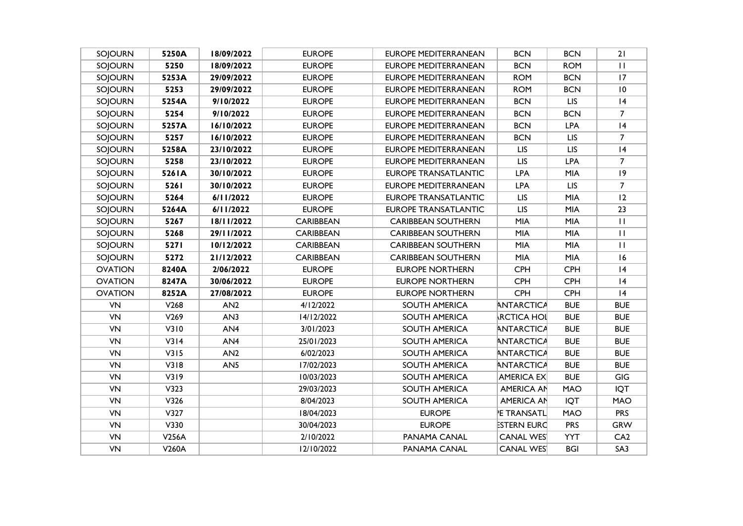| SOJOURN        | 5250A        | 18/09/2022      | <b>EUROPE</b>    | <b>EUROPE MEDITERRANEAN</b> | <b>BCN</b>         | <b>BCN</b> | 21             |
|----------------|--------------|-----------------|------------------|-----------------------------|--------------------|------------|----------------|
| SOJOURN        | 5250         | 18/09/2022      | <b>EUROPE</b>    | <b>EUROPE MEDITERRANEAN</b> | <b>BCN</b>         | <b>ROM</b> | $\mathbf{H}$   |
| SOJOURN        | 5253A        | 29/09/2022      | <b>EUROPE</b>    | <b>EUROPE MEDITERRANEAN</b> | <b>ROM</b>         | <b>BCN</b> | 17             |
| SOJOURN        | 5253         | 29/09/2022      | <b>EUROPE</b>    | <b>EUROPE MEDITERRANEAN</b> | <b>ROM</b>         | <b>BCN</b> | $\,$ l $\,$    |
| SOJOURN        | 5254A        | 9/10/2022       | <b>EUROPE</b>    | <b>EUROPE MEDITERRANEAN</b> | <b>BCN</b>         | <b>LIS</b> | 4              |
| SOJOURN        | 5254         | 9/10/2022       | <b>EUROPE</b>    | <b>EUROPE MEDITERRANEAN</b> | <b>BCN</b>         | <b>BCN</b> | $\overline{7}$ |
| SOJOURN        | 5257A        | 16/10/2022      | <b>EUROPE</b>    | <b>EUROPE MEDITERRANEAN</b> | <b>BCN</b>         | <b>LPA</b> | 4              |
| SOJOURN        | 5257         | 16/10/2022      | <b>EUROPE</b>    | <b>EUROPE MEDITERRANEAN</b> | <b>BCN</b>         | <b>LIS</b> | $\overline{7}$ |
| SOJOURN        | 5258A        | 23/10/2022      | <b>EUROPE</b>    | <b>EUROPE MEDITERRANEAN</b> | <b>LIS</b>         | <b>LIS</b> | 4              |
| SOJOURN        | 5258         | 23/10/2022      | <b>EUROPE</b>    | <b>EUROPE MEDITERRANEAN</b> | <b>LIS</b>         | <b>LPA</b> | $\overline{7}$ |
| SOJOURN        | 5261A        | 30/10/2022      | <b>EUROPE</b>    | <b>EUROPE TRANSATLANTIC</b> | <b>LPA</b>         | <b>MIA</b> | 9              |
| SOJOURN        | 5261         | 30/10/2022      | <b>EUROPE</b>    | <b>EUROPE MEDITERRANEAN</b> | <b>LPA</b>         | <b>LIS</b> | $\overline{7}$ |
| SOJOURN        | 5264         | 6/11/2022       | <b>EUROPE</b>    | <b>EUROPE TRANSATLANTIC</b> | <b>LIS</b>         | <b>MIA</b> | 12             |
| SOJOURN        | 5264A        | 6/11/2022       | <b>EUROPE</b>    | <b>EUROPE TRANSATLANTIC</b> | <b>LIS</b>         | <b>MIA</b> | 23             |
| SOJOURN        | 5267         | 18/11/2022      | <b>CARIBBEAN</b> | <b>CARIBBEAN SOUTHERN</b>   | <b>MIA</b>         | <b>MIA</b> | $\mathbf{H}$   |
| SOJOURN        | 5268         | 29/11/2022      | <b>CARIBBEAN</b> | <b>CARIBBEAN SOUTHERN</b>   | <b>MIA</b>         | <b>MIA</b> | $\mathbf{H}$   |
| SOJOURN        | 5271         | 10/12/2022      | <b>CARIBBEAN</b> | <b>CARIBBEAN SOUTHERN</b>   | <b>MIA</b>         | <b>MIA</b> | $\mathbf{H}$   |
| SOJOURN        | 5272         | 21/12/2022      | <b>CARIBBEAN</b> | <b>CARIBBEAN SOUTHERN</b>   | <b>MIA</b>         | <b>MIA</b> | 16             |
| <b>OVATION</b> | 8240A        | 2/06/2022       | <b>EUROPE</b>    | <b>EUROPE NORTHERN</b>      | <b>CPH</b>         | <b>CPH</b> | 4              |
| <b>OVATION</b> | 8247A        | 30/06/2022      | <b>EUROPE</b>    | <b>EUROPE NORTHERN</b>      | <b>CPH</b>         | CPH        | 4              |
| <b>OVATION</b> | 8252A        | 27/08/2022      | <b>EUROPE</b>    | <b>EUROPE NORTHERN</b>      | <b>CPH</b>         | <b>CPH</b> | 4              |
| <b>VN</b>      | V268         | AN <sub>2</sub> | 4/12/2022        | SOUTH AMERICA               | ANTARCTICA         | <b>BUE</b> | <b>BUE</b>     |
| VN             | V269         | AN3             | 14/12/2022       | SOUTH AMERICA               | <b>RCTICA HOL</b>  | <b>BUE</b> | <b>BUE</b>     |
| VN             | V310         | AN4             | 3/01/2023        | SOUTH AMERICA               | ANTARCTICA         | <b>BUE</b> | <b>BUE</b>     |
| <b>VN</b>      | V3I4         | AN4             | 25/01/2023       | SOUTH AMERICA               | ANTARCTICA         | <b>BUE</b> | <b>BUE</b>     |
| VN             | V315         | AN2             | 6/02/2023        | SOUTH AMERICA               | ANTARCTICA         | <b>BUE</b> | <b>BUE</b>     |
| <b>VN</b>      | V318         | AN <sub>5</sub> | 17/02/2023       | SOUTH AMERICA               | ANTARCTICA         | <b>BUE</b> | <b>BUE</b>     |
| VN             | V319         |                 | 10/03/2023       | SOUTH AMERICA               | <b>AMERICA EX</b>  | <b>BUE</b> | GIG            |
| VN             | V323         |                 | 29/03/2023       | SOUTH AMERICA               | <b>AMERICA AN</b>  | <b>MAO</b> | <b>IQT</b>     |
| VN             | V326         |                 | 8/04/2023        | SOUTH AMERICA               | <b>AMERICA AN</b>  | <b>IQT</b> | MAO            |
| VN             | V327         |                 | 18/04/2023       | <b>EUROPE</b>               | <b>E TRANSATL</b>  | <b>MAO</b> | <b>PRS</b>     |
| VN             | V330         |                 | 30/04/2023       | <b>EUROPE</b>               | <b>ESTERN EURC</b> | <b>PRS</b> | <b>GRW</b>     |
| VN             | <b>V256A</b> |                 | 2/10/2022        | PANAMA CANAL                | <b>CANAL WES</b>   | <b>YYT</b> | CA2            |
| VN             | V260A        |                 | 12/10/2022       | PANAMA CANAL                | <b>CANAL WES</b>   | <b>BGI</b> | SA3            |